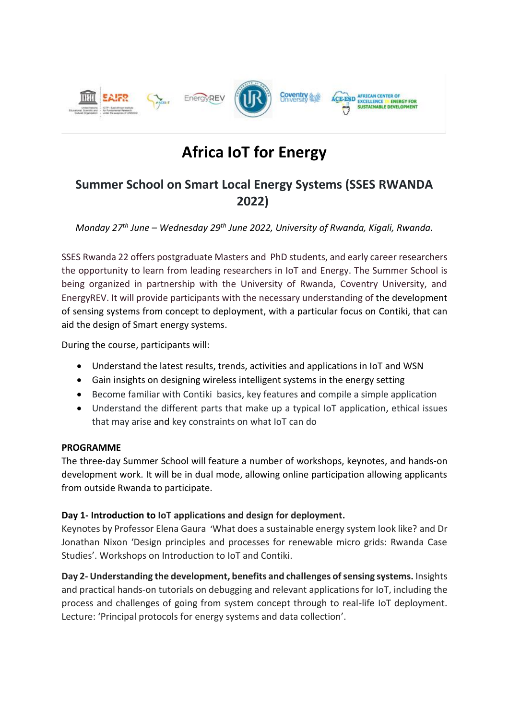

# **Africa IoT for Energy**

# **Summer School on Smart Local Energy Systems (SSES RWANDA 2022)**

## *Monday 27th June – Wednesday 29th June 2022, University of Rwanda, Kigali, Rwanda.*

SSES Rwanda 22 offers postgraduate Masters and PhD students, and early career researchers the opportunity to learn from leading researchers in IoT and Energy. The Summer School is being organized in partnership with the University of Rwanda, Coventry University, and EnergyREV. It will provide participants with the necessary understanding of the development of sensing systems from concept to deployment, with a particular focus on Contiki, that can aid the design of Smart energy systems.

During the course, participants will:

- Understand the latest results, trends, activities and applications in IoT and WSN
- Gain insights on designing wireless intelligent systems in the energy setting
- Become familiar with Contiki basics, key features and compile a simple application
- Understand the different parts that make up a typical IoT application, ethical issues that may arise and key constraints on what IoT can do

#### **PROGRAMME**

The three-day Summer School will feature a number of workshops, keynotes, and hands-on development work. It will be in dual mode, allowing online participation allowing applicants from outside Rwanda to participate.

### **Day 1- Introduction to IoT applications and design for deployment.**

Keynotes by Professor Elena Gaura 'What does a sustainable energy system look like? and Dr Jonathan Nixon 'Design principles and processes for renewable micro grids: Rwanda Case Studies'. Workshops on Introduction to IoT and Contiki.

**Day 2- Understanding the development, benefits and challenges of sensing systems.** Insights and practical hands-on tutorials on debugging and relevant applications for IoT, including the process and challenges of going from system concept through to real-life IoT deployment. Lecture: 'Principal protocols for energy systems and data collection'.